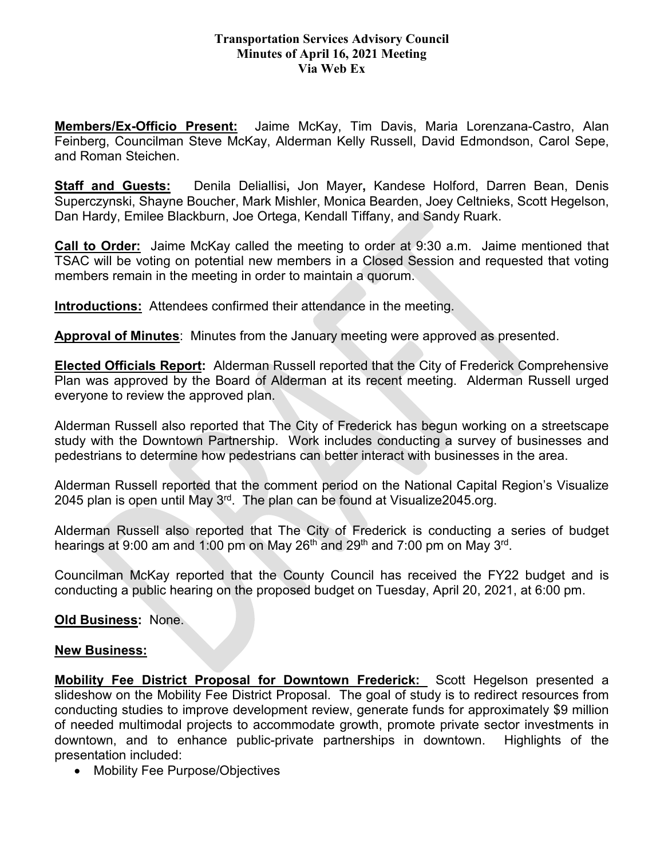## **Transportation Services Advisory Council Minutes of April 16, 2021 Meeting Via Web Ex**

**Members/Ex-Officio Present:** Jaime McKay, Tim Davis, Maria Lorenzana-Castro, Alan Feinberg, Councilman Steve McKay, Alderman Kelly Russell, David Edmondson, Carol Sepe, and Roman Steichen.

**Staff and Guests:** Denila Deliallisi**,** Jon Mayer**,** Kandese Holford, Darren Bean, Denis Superczynski, Shayne Boucher, Mark Mishler, Monica Bearden, Joey Celtnieks, Scott Hegelson, Dan Hardy, Emilee Blackburn, Joe Ortega, Kendall Tiffany, and Sandy Ruark.

**Call to Order:** Jaime McKay called the meeting to order at 9:30 a.m. Jaime mentioned that TSAC will be voting on potential new members in a Closed Session and requested that voting members remain in the meeting in order to maintain a quorum.

**Introductions:** Attendees confirmed their attendance in the meeting.

**Approval of Minutes**: Minutes from the January meeting were approved as presented.

**Elected Officials Report:** Alderman Russell reported that the City of Frederick Comprehensive Plan was approved by the Board of Alderman at its recent meeting. Alderman Russell urged everyone to review the approved plan.

Alderman Russell also reported that The City of Frederick has begun working on a streetscape study with the Downtown Partnership. Work includes conducting a survey of businesses and pedestrians to determine how pedestrians can better interact with businesses in the area.

Alderman Russell reported that the comment period on the National Capital Region's Visualize 2045 plan is open until May  $3<sup>rd</sup>$ . The plan can be found at Visualize 2045.org.

Alderman Russell also reported that The City of Frederick is conducting a series of budget hearings at 9:00 am and 1:00 pm on May 26<sup>th</sup> and 29<sup>th</sup> and 7:00 pm on May 3<sup>rd</sup>.

Councilman McKay reported that the County Council has received the FY22 budget and is conducting a public hearing on the proposed budget on Tuesday, April 20, 2021, at 6:00 pm.

## **Old Business:** None.

## **New Business:**

**Mobility Fee District Proposal for Downtown Frederick:** Scott Hegelson presented a slideshow on the Mobility Fee District Proposal. The goal of study is to redirect resources from conducting studies to improve development review, generate funds for approximately \$9 million of needed multimodal projects to accommodate growth, promote private sector investments in downtown, and to enhance public-private partnerships in downtown. Highlights of the presentation included:

• Mobility Fee Purpose/Objectives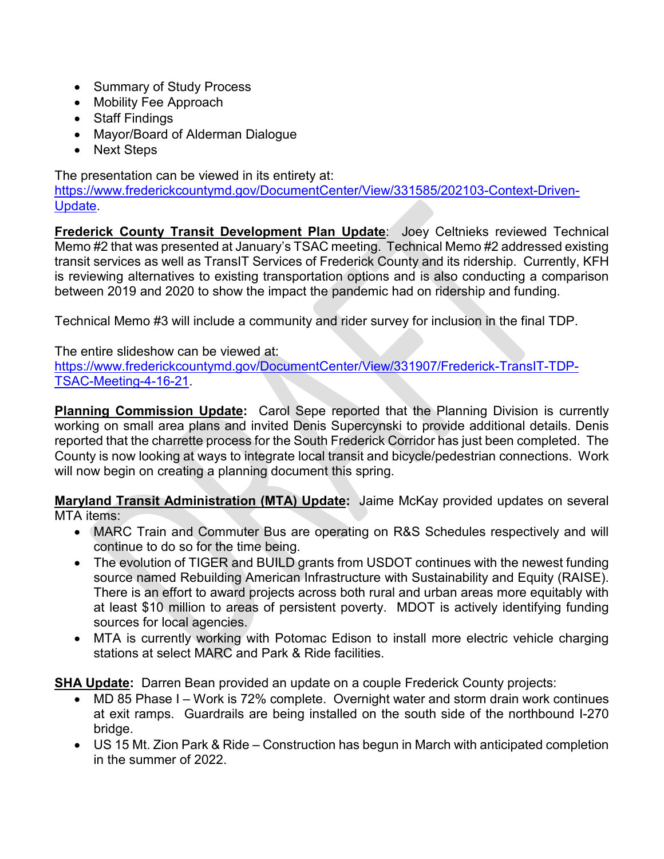- Summary of Study Process
- Mobility Fee Approach
- Staff Findings
- Mayor/Board of Alderman Dialogue
- Next Steps

The presentation can be viewed in its entirety at:

[https://www.frederickcountymd.gov/DocumentCenter/View/331585/202103-Context-Driven-](https://www.frederickcountymd.gov/DocumentCenter/View/331585/202103-Context-Driven-Update)[Update.](https://www.frederickcountymd.gov/DocumentCenter/View/331585/202103-Context-Driven-Update)

**Frederick County Transit Development Plan Update**: Joey Celtnieks reviewed Technical Memo #2 that was presented at January's TSAC meeting. Technical Memo #2 addressed existing transit services as well as TransIT Services of Frederick County and its ridership. Currently, KFH is reviewing alternatives to existing transportation options and is also conducting a comparison between 2019 and 2020 to show the impact the pandemic had on ridership and funding.

Technical Memo #3 will include a community and rider survey for inclusion in the final TDP.

The entire slideshow can be viewed at:

[https://www.frederickcountymd.gov/DocumentCenter/View/331907/Frederick-TransIT-TDP-](https://www.frederickcountymd.gov/DocumentCenter/View/331907/Frederick-TransIT-TDP-TSAC-Meeting-4-16-21)[TSAC-Meeting-4-16-21.](https://www.frederickcountymd.gov/DocumentCenter/View/331907/Frederick-TransIT-TDP-TSAC-Meeting-4-16-21)

**Planning Commission Update:** Carol Sepe reported that the Planning Division is currently working on small area plans and invited Denis Supercynski to provide additional details. Denis reported that the charrette process for the South Frederick Corridor has just been completed. The County is now looking at ways to integrate local transit and bicycle/pedestrian connections. Work will now begin on creating a planning document this spring.

**Maryland Transit Administration (MTA) Update:** Jaime McKay provided updates on several MTA items:

- MARC Train and Commuter Bus are operating on R&S Schedules respectively and will continue to do so for the time being.
- The evolution of TIGER and BUILD grants from USDOT continues with the newest funding source named Rebuilding American Infrastructure with Sustainability and Equity (RAISE). There is an effort to award projects across both rural and urban areas more equitably with at least \$10 million to areas of persistent poverty. MDOT is actively identifying funding sources for local agencies.
- MTA is currently working with Potomac Edison to install more electric vehicle charging stations at select MARC and Park & Ride facilities.

**SHA Update:** Darren Bean provided an update on a couple Frederick County projects:

- MD 85 Phase I Work is 72% complete. Overnight water and storm drain work continues at exit ramps. Guardrails are being installed on the south side of the northbound I-270 bridge.
- US 15 Mt. Zion Park & Ride Construction has begun in March with anticipated completion in the summer of 2022.